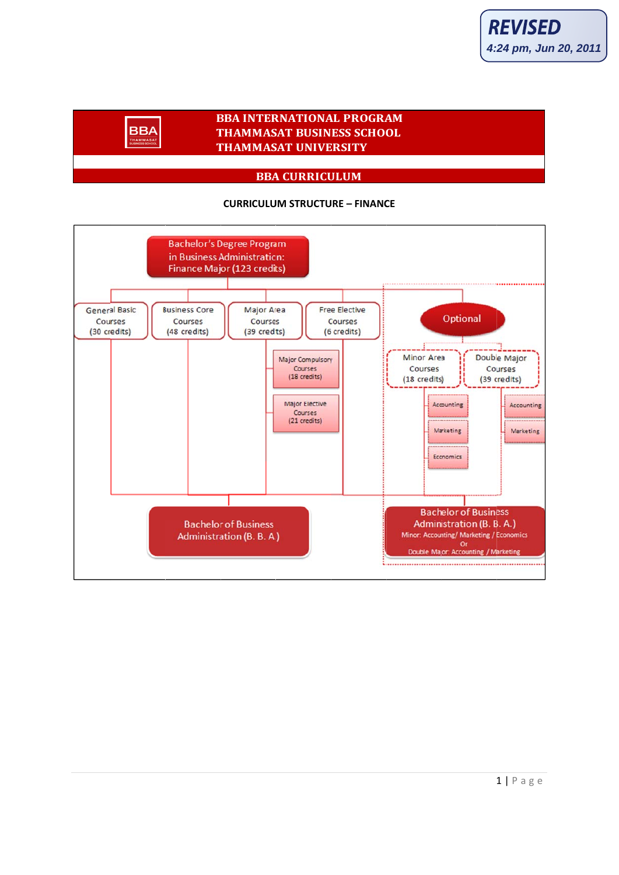# **BBA INTERNATIONAL PROGRAM THAMMASAT BUSINESS SCHOOL THAMMASAT UNIVERSITY**

**BBA** 

### **BBA CURRICULUM**

#### **CURRICULUM STRUCTURE - FINANCE**

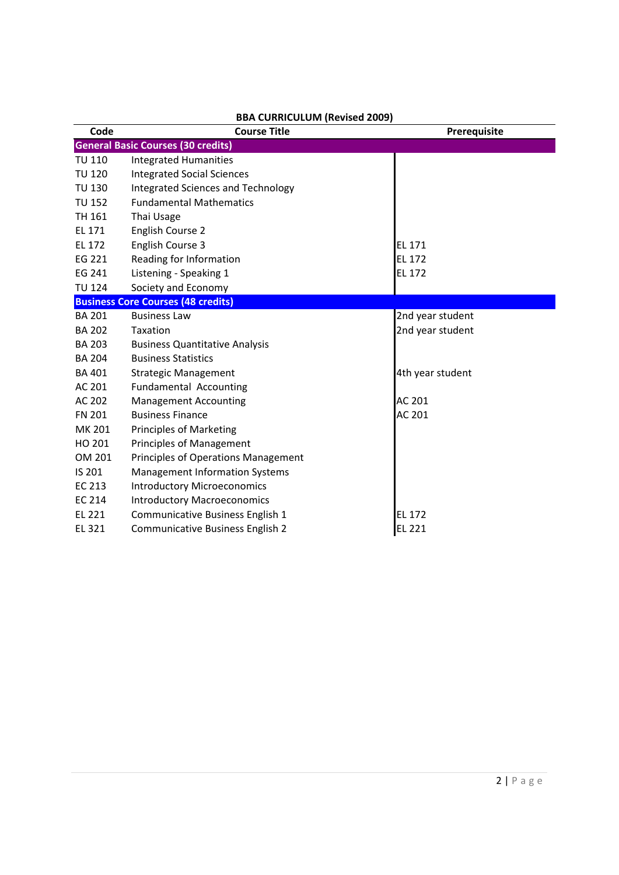| Code          | <b>Course Title</b>                       | Prerequisite     |
|---------------|-------------------------------------------|------------------|
|               | <b>General Basic Courses (30 credits)</b> |                  |
| <b>TU 110</b> | <b>Integrated Humanities</b>              |                  |
| <b>TU 120</b> | <b>Integrated Social Sciences</b>         |                  |
| <b>TU 130</b> | Integrated Sciences and Technology        |                  |
| <b>TU 152</b> | <b>Fundamental Mathematics</b>            |                  |
| TH 161        | Thai Usage                                |                  |
| EL 171        | English Course 2                          |                  |
| EL 172        | English Course 3                          | EL 171           |
| EG 221        | Reading for Information                   | EL 172           |
| EG 241        | Listening - Speaking 1                    | EL 172           |
| <b>TU 124</b> | Society and Economy                       |                  |
|               | <b>Business Core Courses (48 credits)</b> |                  |
| <b>BA 201</b> | <b>Business Law</b>                       | 2nd year student |
| <b>BA 202</b> | Taxation                                  | 2nd year student |
| <b>BA 203</b> | <b>Business Quantitative Analysis</b>     |                  |
| <b>BA 204</b> | <b>Business Statistics</b>                |                  |
| <b>BA 401</b> | <b>Strategic Management</b>               | 4th year student |
| AC 201        | Fundamental Accounting                    |                  |
| AC 202        | <b>Management Accounting</b>              | AC 201           |
| <b>FN 201</b> | <b>Business Finance</b>                   | AC 201           |
| MK 201        | <b>Principles of Marketing</b>            |                  |
| HO 201        | <b>Principles of Management</b>           |                  |
| OM 201        | Principles of Operations Management       |                  |
| IS 201        | <b>Management Information Systems</b>     |                  |
| EC 213        | <b>Introductory Microeconomics</b>        |                  |
| EC 214        | <b>Introductory Macroeconomics</b>        |                  |
| EL 221        | Communicative Business English 1          | EL 172           |
| EL 321        | Communicative Business English 2          | EL 221           |

### **BBA CURRICULUM (Revised 2009)**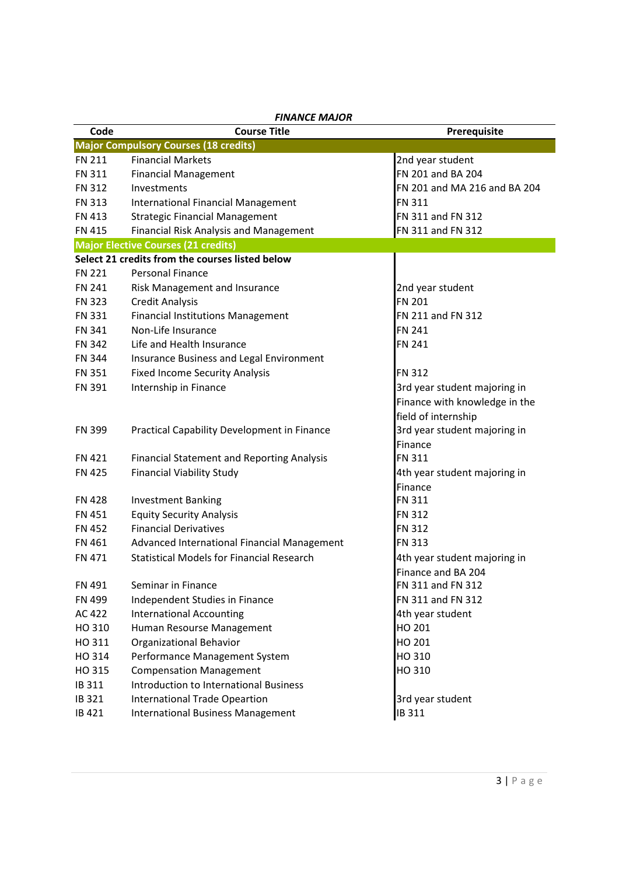| Code                           | FIIVAIVLE IVIAJUK<br><b>Course Title</b>                                             |                                       |
|--------------------------------|--------------------------------------------------------------------------------------|---------------------------------------|
|                                |                                                                                      | Prerequisite                          |
| <b>FN 211</b>                  | <b>Major Compulsory Courses (18 credits)</b><br><b>Financial Markets</b>             |                                       |
| <b>FN 311</b>                  |                                                                                      | 2nd year student<br>FN 201 and BA 204 |
| <b>FN 312</b>                  | <b>Financial Management</b><br>Investments                                           | FN 201 and MA 216 and BA 204          |
| <b>FN 313</b>                  | International Financial Management                                                   | <b>FN 311</b>                         |
|                                |                                                                                      | FN 311 and FN 312                     |
| <b>FN 413</b><br><b>FN 415</b> | <b>Strategic Financial Management</b>                                                |                                       |
|                                | Financial Risk Analysis and Management<br><b>Major Elective Courses (21 credits)</b> | FN 311 and FN 312                     |
|                                | Select 21 credits from the courses listed below                                      |                                       |
| <b>FN 221</b>                  | <b>Personal Finance</b>                                                              |                                       |
| <b>FN 241</b>                  |                                                                                      |                                       |
|                                | Risk Management and Insurance                                                        | 2nd year student<br><b>FN 201</b>     |
| <b>FN 323</b>                  | <b>Credit Analysis</b>                                                               |                                       |
| <b>FN 331</b>                  | <b>Financial Institutions Management</b>                                             | FN 211 and FN 312                     |
| <b>FN 341</b>                  | Non-Life Insurance                                                                   | <b>FN 241</b>                         |
| <b>FN 342</b>                  | Life and Health Insurance                                                            | <b>FN 241</b>                         |
| <b>FN 344</b>                  | Insurance Business and Legal Environment                                             |                                       |
| <b>FN 351</b>                  | <b>Fixed Income Security Analysis</b>                                                | <b>FN 312</b>                         |
| <b>FN 391</b>                  | Internship in Finance                                                                | 3rd year student majoring in          |
|                                |                                                                                      | Finance with knowledge in the         |
|                                |                                                                                      | field of internship                   |
| <b>FN 399</b>                  | Practical Capability Development in Finance                                          | 3rd year student majoring in          |
|                                |                                                                                      | Finance                               |
| <b>FN 421</b>                  | <b>Financial Statement and Reporting Analysis</b>                                    | <b>FN 311</b>                         |
| <b>FN 425</b>                  | <b>Financial Viability Study</b>                                                     | 4th year student majoring in          |
|                                |                                                                                      | Finance                               |
| <b>FN 428</b>                  | <b>Investment Banking</b>                                                            | <b>FN 311</b>                         |
| <b>FN 451</b>                  | <b>Equity Security Analysis</b>                                                      | <b>FN 312</b>                         |
| <b>FN 452</b>                  | <b>Financial Derivatives</b>                                                         | <b>FN 312</b>                         |
| FN 461                         | Advanced International Financial Management                                          | <b>FN 313</b>                         |
| <b>FN 471</b>                  | <b>Statistical Models for Financial Research</b>                                     | 4th year student majoring in          |
|                                |                                                                                      | Finance and BA 204                    |
| FN 491                         | Seminar in Finance                                                                   | FN 311 and FN 312                     |
| FN 499                         | Independent Studies in Finance                                                       | FN 311 and FN 312                     |
| AC 422                         | <b>International Accounting</b>                                                      | 4th year student                      |
| HO 310                         | Human Resourse Management                                                            | HO 201                                |
| HO 311                         | <b>Organizational Behavior</b>                                                       | HO 201                                |
| HO 314                         | Performance Management System                                                        | HO 310                                |
| HO 315                         | <b>Compensation Management</b>                                                       | HO 310                                |
| IB 311                         | <b>Introduction to International Business</b>                                        |                                       |
| IB 321                         | International Trade Opeartion                                                        | 3rd year student                      |
| IB 421                         | <b>International Business Management</b>                                             | IB 311                                |

*FINANCE MAJOR*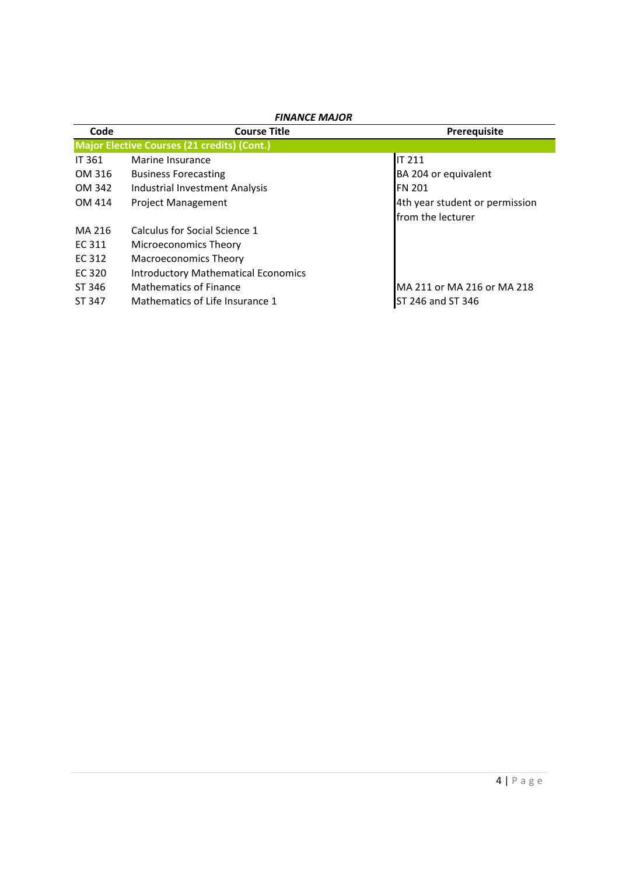| Code                                               | <b>Course Title</b>                        | Prerequisite                   |  |  |
|----------------------------------------------------|--------------------------------------------|--------------------------------|--|--|
| <b>Major Elective Courses (21 credits) (Cont.)</b> |                                            |                                |  |  |
| <b>IT 361</b>                                      | Marine Insurance                           | <b>IT 211</b>                  |  |  |
| OM 316                                             | <b>Business Forecasting</b>                | BA 204 or equivalent           |  |  |
| OM 342                                             | Industrial Investment Analysis             | <b>FN 201</b>                  |  |  |
| OM 414                                             | <b>Project Management</b>                  | 4th year student or permission |  |  |
|                                                    |                                            | from the lecturer              |  |  |
| MA 216                                             | Calculus for Social Science 1              |                                |  |  |
| EC 311                                             | Microeconomics Theory                      |                                |  |  |
| EC 312                                             | <b>Macroeconomics Theory</b>               |                                |  |  |
| EC 320                                             | <b>Introductory Mathematical Economics</b> |                                |  |  |
| ST 346                                             | Mathematics of Finance                     | MA 211 or MA 216 or MA 218     |  |  |
| ST 347                                             | Mathematics of Life Insurance 1            | ST 246 and ST 346              |  |  |

# *FINANCE MAJOR*